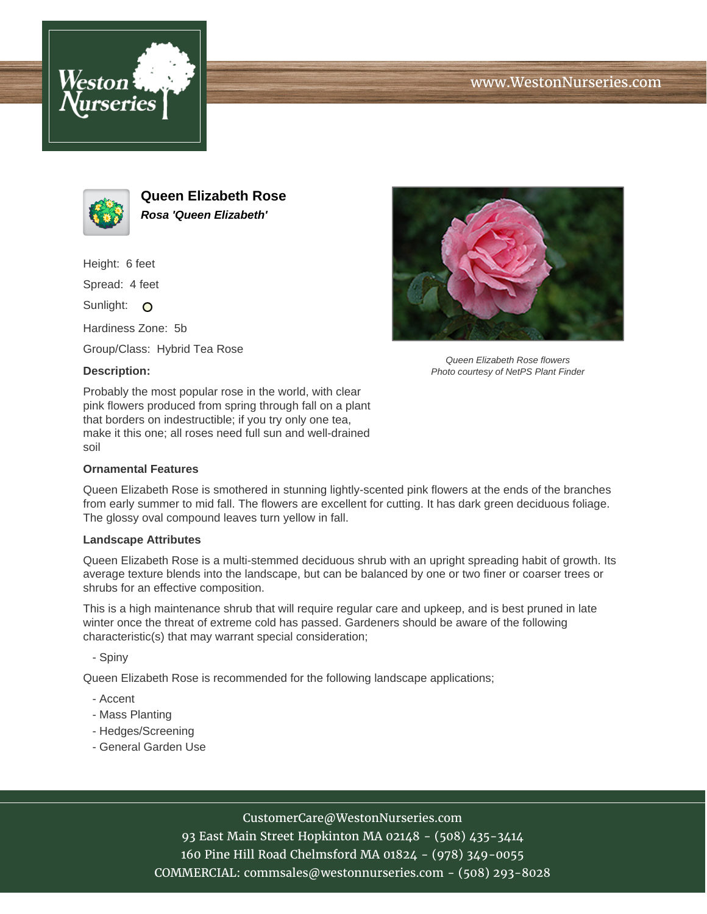





**Queen Elizabeth Rose Rosa 'Queen Elizabeth'**

Height: 6 feet

Spread: 4 feet

Sunlight: O

Hardiness Zone: 5b

Group/Class: Hybrid Tea Rose

## **Description:**

Probably the most popular rose in the world, with clear pink flowers produced from spring through fall on a plant that borders on indestructible; if you try only one tea, make it this one; all roses need full sun and well-drained soil

## **Ornamental Features**

Queen Elizabeth Rose is smothered in stunning lightly-scented pink flowers at the ends of the branches

from early summer to mid fall. The flowers are excellent for cutting. It has dark green deciduous foliage. The glossy oval compound leaves turn yellow in fall.

## **Landscape Attributes**

Queen Elizabeth Rose is a multi-stemmed deciduous shrub with an upright spreading habit of growth. Its average texture blends into the landscape, but can be balanced by one or two finer or coarser trees or shrubs for an effective composition.

This is a high maintenance shrub that will require regular care and upkeep, and is best pruned in late winter once the threat of extreme cold has passed. Gardeners should be aware of the following characteristic(s) that may warrant special consideration;

- Spiny

Queen Elizabeth Rose is recommended for the following landscape applications;

- Accent
- Mass Planting
- Hedges/Screening
- General Garden Use



93 East Main Street Hopkinton MA 02148 - (508) 435-3414 160 Pine Hill Road Chelmsford MA 01824 - (978) 349-0055 COMMERCIAL: commsales@westonnurseries.com - (508) 293-8028



Queen Elizabeth Rose flowers Photo courtesy of NetPS Plant Finder